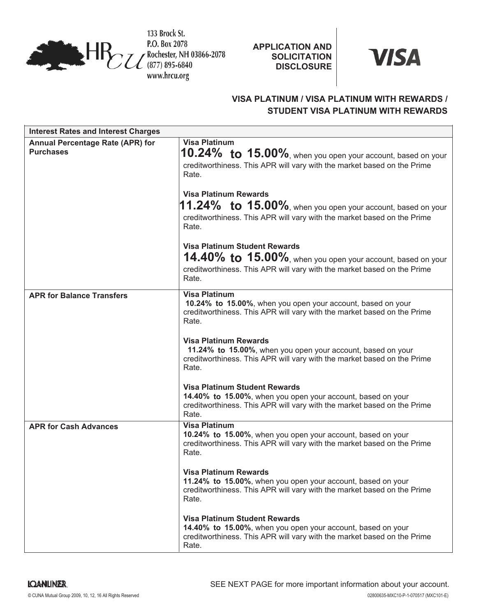

133 Brock St. P.O. Box 2078 TE Rochester, NH 03866-2078 www.hrcu.org

**APPLICATION AND SOLICITATION DISCLOSURE**



# **VISA PLATINUM / VISA PLATINUM WITH REWARDS / STUDENT VISA PLATINUM WITH REWARDS**

| <b>Interest Rates and Interest Charges</b>           |                                                                                                                                                                                         |
|------------------------------------------------------|-----------------------------------------------------------------------------------------------------------------------------------------------------------------------------------------|
| Annual Percentage Rate (APR) for<br><b>Purchases</b> | <b>Visa Platinum</b><br>10.24% to 15.00%, when you open your account, based on your<br>creditworthiness. This APR will vary with the market based on the Prime<br>Rate.                 |
|                                                      | <b>Visa Platinum Rewards</b><br>$11.24\%$ to $15.00\%$ , when you open your account, based on your<br>creditworthiness. This APR will vary with the market based on the Prime<br>Rate.  |
|                                                      | <b>Visa Platinum Student Rewards</b><br>14.40% to 15.00%, when you open your account, based on your<br>creditworthiness. This APR will vary with the market based on the Prime<br>Rate. |
| <b>APR for Balance Transfers</b>                     | <b>Visa Platinum</b><br>10.24% to 15.00%, when you open your account, based on your<br>creditworthiness. This APR will vary with the market based on the Prime<br>Rate.                 |
|                                                      | <b>Visa Platinum Rewards</b><br>11.24% to 15.00%, when you open your account, based on your<br>creditworthiness. This APR will vary with the market based on the Prime<br>Rate.         |
|                                                      | <b>Visa Platinum Student Rewards</b><br>14.40% to 15.00%, when you open your account, based on your<br>creditworthiness. This APR will vary with the market based on the Prime<br>Rate. |
| <b>APR for Cash Advances</b>                         | <b>Visa Platinum</b><br>10.24% to 15.00%, when you open your account, based on your<br>creditworthiness. This APR will vary with the market based on the Prime<br>Rate.                 |
|                                                      | Visa Platinum Rewards<br>11.24% to 15.00%, when you open your account, based on your<br>creditworthiness. This APR will vary with the market based on the Prime<br>Rate.                |
|                                                      | <b>Visa Platinum Student Rewards</b><br>14.40% to 15.00%, when you open your account, based on your<br>creditworthiness. This APR will vary with the market based on the Prime<br>Rate. |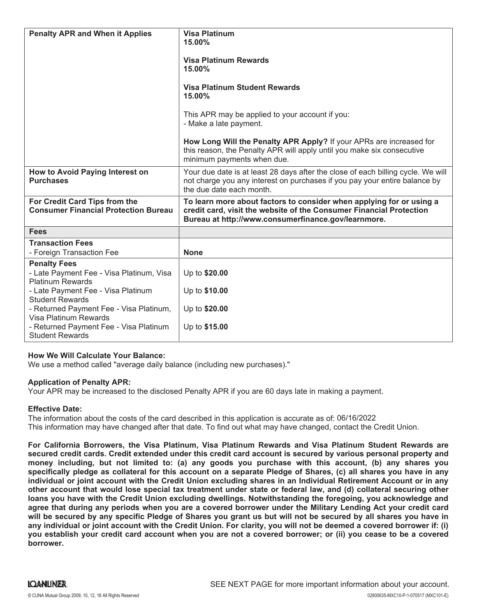| <b>Penalty APR and When it Applies</b>                                                                                           | <b>Visa Platinum</b><br>15.00%<br><b>Visa Platinum Rewards</b><br>15.00%<br><b>Visa Platinum Student Rewards</b><br>15.00%<br>This APR may be applied to your account if you:<br>- Make a late payment.<br>How Long Will the Penalty APR Apply? If your APRs are increased for<br>this reason, the Penalty APR will apply until you make six consecutive |
|----------------------------------------------------------------------------------------------------------------------------------|----------------------------------------------------------------------------------------------------------------------------------------------------------------------------------------------------------------------------------------------------------------------------------------------------------------------------------------------------------|
|                                                                                                                                  | minimum payments when due.                                                                                                                                                                                                                                                                                                                               |
| How to Avoid Paying Interest on<br><b>Purchases</b>                                                                              | Your due date is at least 28 days after the close of each billing cycle. We will<br>not charge you any interest on purchases if you pay your entire balance by<br>the due date each month.                                                                                                                                                               |
| For Credit Card Tips from the<br><b>Consumer Financial Protection Bureau</b>                                                     | To learn more about factors to consider when applying for or using a<br>credit card, visit the website of the Consumer Financial Protection<br>Bureau at http://www.consumerfinance.gov/learnmore.                                                                                                                                                       |
| <b>Fees</b>                                                                                                                      |                                                                                                                                                                                                                                                                                                                                                          |
| <b>Transaction Fees</b><br>- Foreign Transaction Fee                                                                             | <b>None</b>                                                                                                                                                                                                                                                                                                                                              |
| <b>Penalty Fees</b><br>- Late Payment Fee - Visa Platinum, Visa<br><b>Platinum Rewards</b><br>- Late Payment Fee - Visa Platinum | Up to \$20.00<br>Up to \$10.00                                                                                                                                                                                                                                                                                                                           |
| <b>Student Rewards</b><br>- Returned Payment Fee - Visa Platinum,<br>Visa Platinum Rewards                                       | Up to \$20.00                                                                                                                                                                                                                                                                                                                                            |
| - Returned Payment Fee - Visa Platinum<br><b>Student Rewards</b>                                                                 | Up to \$15.00                                                                                                                                                                                                                                                                                                                                            |

# **How We Will Calculate Your Balance:**

We use a method called "average daily balance (including new purchases)."

## **Application of Penalty APR:**

Your APR may be increased to the disclosed Penalty APR if you are 60 days late in making a payment.

# **Effective Date:**

The information about the costs of the card described in this application is accurate as of: 06/16/2022 This information may have changed after that date. To find out what may have changed, contact the Credit Union.

**For California Borrowers, the Visa Platinum, Visa Platinum Rewards and Visa Platinum Student Rewards are** secured credit cards. Credit extended under this credit card account is secured by various personal property and money including, but not limited to: (a) any goods you purchase with this account, (b) any shares you specifically pledge as collateral for this account on a separate Pledge of Shares, (c) all shares you have in any individual or joint account with the Credit Union excluding shares in an Individual Retirement Account or in any other account that would lose special tax treatment under state or federal law, and (d) collateral securing other **loans you have with the Credit Union excluding dwellings. Notwithstanding the foregoing, you acknowledge and** agree that during any periods when you are a covered borrower under the Military Lending Act your credit card will be secured by any specific Pledge of Shares you grant us but will not be secured by all shares you have in any individual or joint account with the Credit Union. For clarity, you will not be deemed a covered borrower if: (i) you establish your credit card account when you are not a covered borrower; or (ii) you cease to be a covered **borrower.**